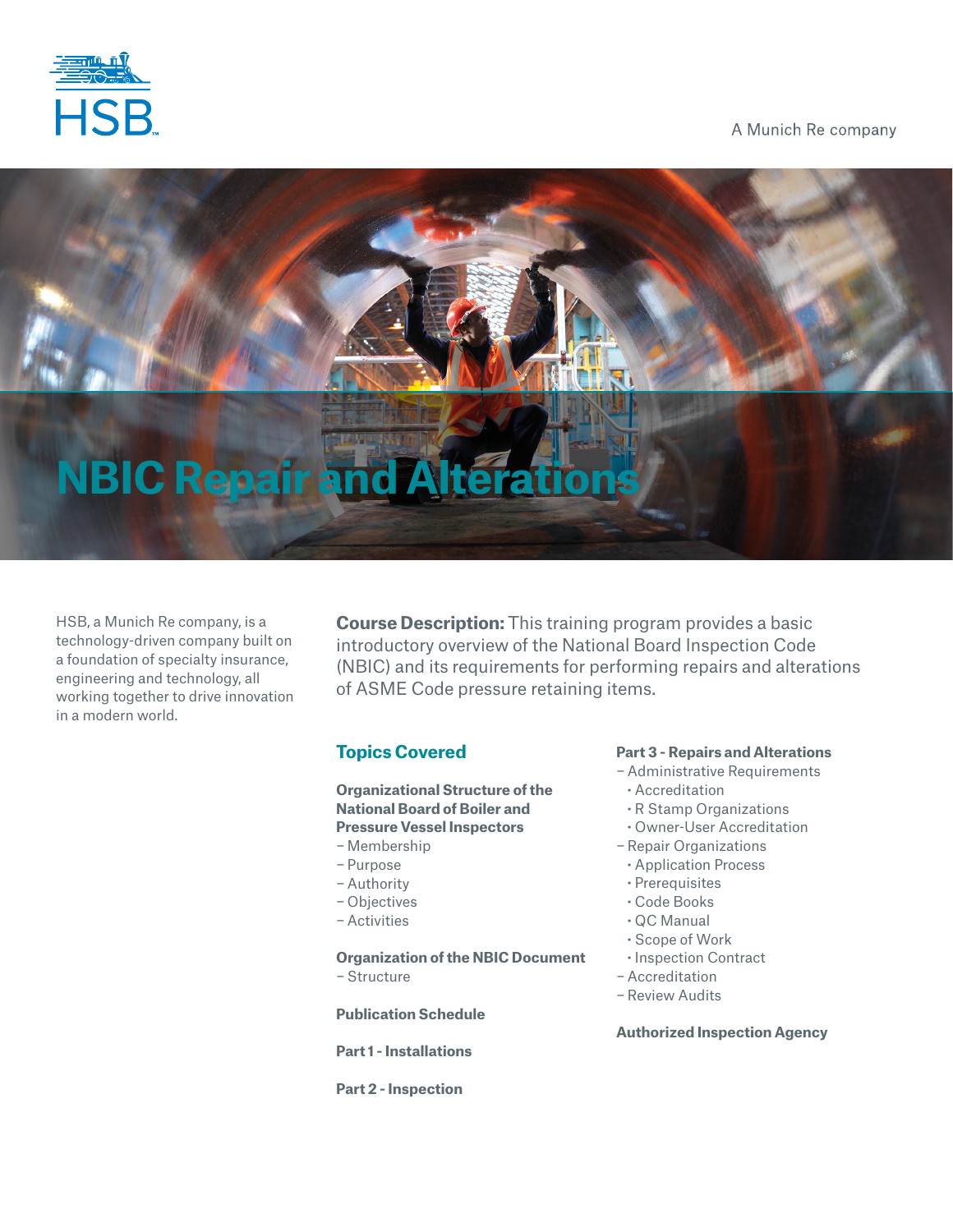

A Munich Re company

# **NBIC Repair and A**

HSB, a Munich Re company, is a technology-driven company built on a foundation of specialty insurance, engineering and technology, all working together to drive innovation in a modern world.

**Course Description:** This training program provides a basic introductory overview of the National Board Inspection Code (NBIC) and its requirements for performing repairs and alterations of ASME Code pressure retaining items.

## **Topics Covered**

### **Organizational Structure of the National Board of Boiler and Pressure Vessel Inspectors**

- − Membership
- − Purpose
- − Authority
- − Objectives
- − Activities

**Organization of the NBIC Document** − Structure

**Publication Schedule**

**Part 1 - Installations**

**Part 2 - Inspection**

### **Part 3 - Repairs and Alterations**

- − Administrative Requirements
- **·** Accreditation
- **·** R Stamp Organizations
- **·** Owner-User Accreditation
- −Repair Organizations
- **·** Application Process
- **·** Prerequisites
- **·** Code Books
- **·** QC Manual
- **·** Scope of Work
- **·** Inspection Contract
- − Accreditation
- −Review Audits

### **Authorized Inspection Agency**